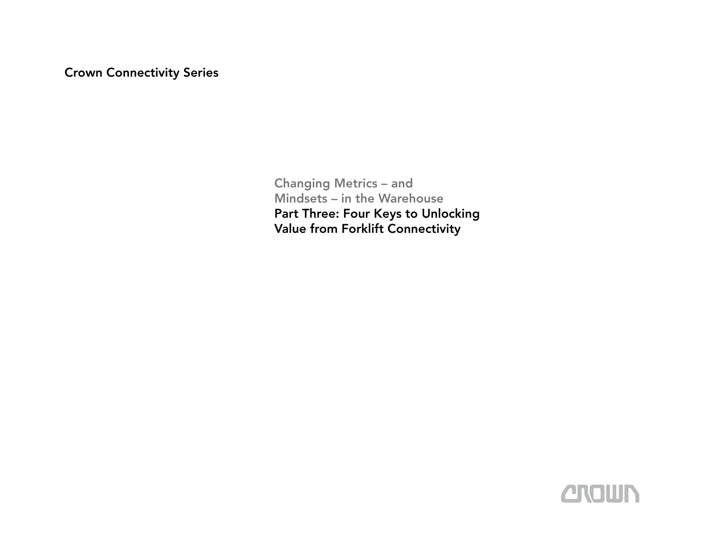Crown Connectivity Series

Changing Metrics – and Mindsets – in the Warehouse Part Three: Four Keys to Unlocking Value from Forklift Connectivity

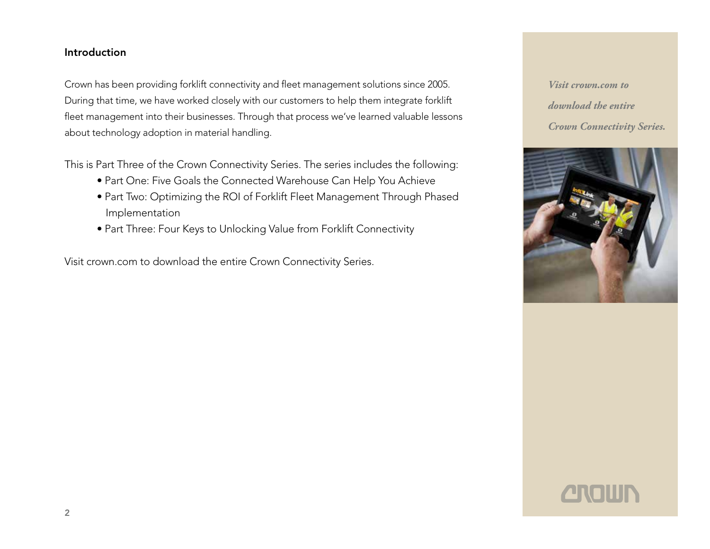## Introduction

Crown has been providing forklift connectivity and fleet management solutions since 2005. During that time, we have worked closely with our customers to help them integrate forklift fleet management into their businesses. Through that process we've learned valuable lessons about technology adoption in material handling.

This is Part Three of the Crown Connectivity Series. The series includes the following:

- Part One: Five Goals the Connected Warehouse Can Help You Achieve
- Part Two: Optimizing the ROI of Forklift Fleet Management Through Phased Implementation
- Part Three: Four Keys to Unlocking Value from Forklift Connectivity

Visit crown.com to download the entire Crown Connectivity Series.





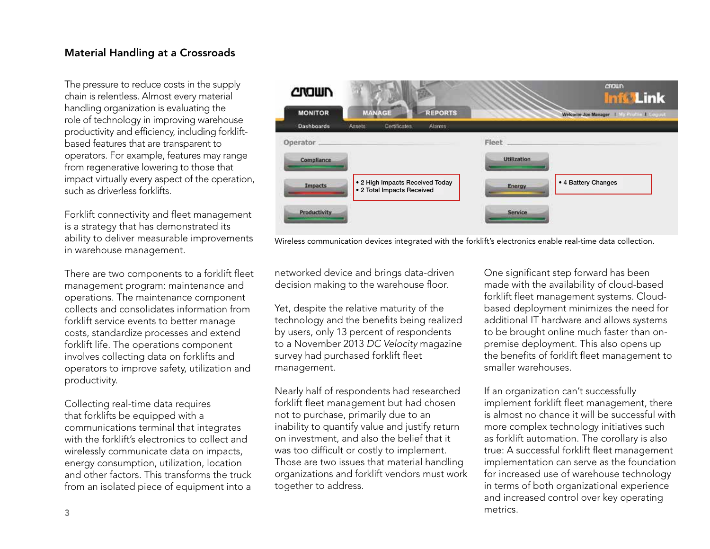## Material Handling at a Crossroads

The pressure to reduce costs in the supply chain is relentless. Almost every material handling organization is evaluating the role of technology in improving warehouse productivity and efficiency, including forkliftbased features that are transparent to operators. For example, features may range from regenerative lowering to those that impact virtually every aspect of the operation, such as driverless forklifts.

Forklift connectivity and fleet management is a strategy that has demonstrated its ability to deliver measurable improvements in warehouse management.

There are two components to a forklift fleet management program: maintenance and operations. The maintenance component collects and consolidates information from forklift service events to better manage costs, standardize processes and extend forklift life. The operations component involves collecting data on forklifts and operators to improve safety, utilization and productivity.

Collecting real-time data requires that forklifts be equipped with a communications terminal that integrates with the forklift's electronics to collect and wirelessly communicate data on impacts, energy consumption, utilization, location and other factors. This transforms the truck from an isolated piece of equipment into a



Wireless communication devices integrated with the forklift's electronics enable real-time data collection.

networked device and brings data-driven decision making to the warehouse floor.

Yet, despite the relative maturity of the technology and the benefits being realized by users, only 13 percent of respondents to a November 2013 *DC Velocity* magazine survey had purchased forklift fleet management.

Nearly half of respondents had researched forklift fleet management but had chosen not to purchase, primarily due to an inability to quantify value and justify return on investment, and also the belief that it was too difficult or costly to implement. Those are two issues that material handling organizations and forklift vendors must work together to address.

One significant step forward has been made with the availability of cloud-based forklift fleet management systems. Cloudbased deployment minimizes the need for additional IT hardware and allows systems to be brought online much faster than onpremise deployment. This also opens up the benefits of forklift fleet management to smaller warehouses.

If an organization can't successfully implement forklift fleet management, there is almost no chance it will be successful with more complex technology initiatives such as forklift automation. The corollary is also true: A successful forklift fleet management implementation can serve as the foundation for increased use of warehouse technology in terms of both organizational experience and increased control over key operating metrics.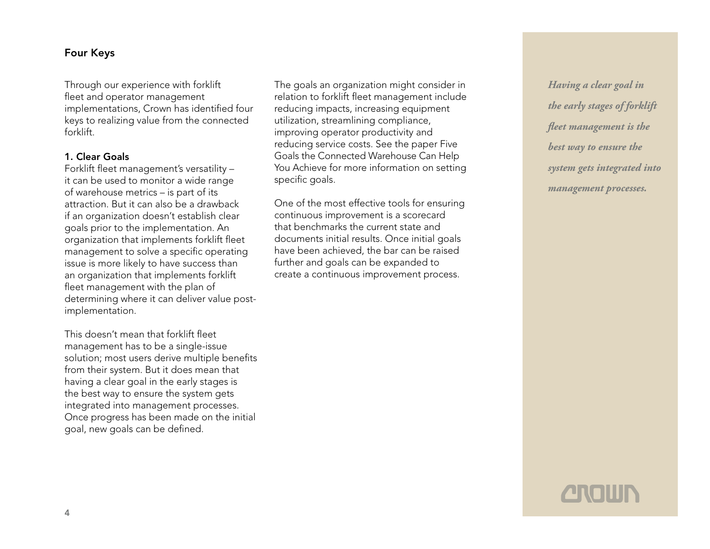## Four Keys

Through our experience with forklift fleet and operator management implementations, Crown has identified four keys to realizing value from the connected forklift.

### 1. Clear Goals

Forklift fleet management's versatility – it can be used to monitor a wide range of warehouse metrics – is part of its attraction. But it can also be a drawback if an organization doesn't establish clear goals prior to the implementation. An organization that implements forklift fleet management to solve a specific operating issue is more likely to have success than an organization that implements forklift fleet management with the plan of determining where it can deliver value postimplementation.

This doesn't mean that forklift fleet management has to be a single-issue solution; most users derive multiple benefits from their system. But it does mean that having a clear goal in the early stages is the best way to ensure the system gets integrated into management processes. Once progress has been made on the initial goal, new goals can be defined.

The goals an organization might consider in relation to forklift fleet management include reducing impacts, increasing equipment utilization, streamlining compliance, improving operator productivity and reducing service costs. See the paper Five Goals the Connected Warehouse Can Help You Achieve for more information on setting specific goals.

One of the most effective tools for ensuring continuous improvement is a scorecard that benchmarks the current state and documents initial results. Once initial goals have been achieved, the bar can be raised further and goals can be expanded to create a continuous improvement process.

*Having a clear goal in the early stages of forklift fleet management is the best way to ensure the system gets integrated into management processes.*

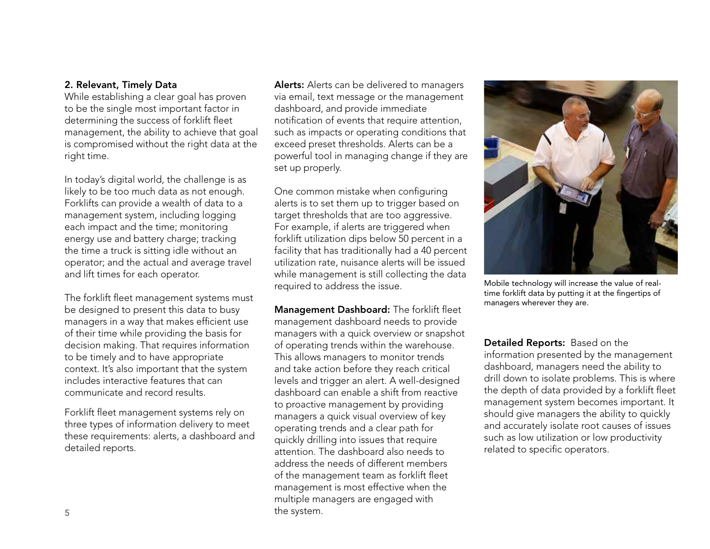### 2. Relevant, Timely Data

While establishing a clear goal has proven to be the single most important factor in determining the success of forklift fleet management, the ability to achieve that goal is compromised without the right data at the right time.

In today's digital world, the challenge is as likely to be too much data as not enough. Forklifts can provide a wealth of data to a management system, including logging each impact and the time; monitoring energy use and battery charge; tracking the time a truck is sitting idle without an operator; and the actual and average travel and lift times for each operator.

The forklift fleet management systems must be designed to present this data to busy managers in a way that makes efficient use of their time while providing the basis for decision making. That requires information to be timely and to have appropriate context. It's also important that the system includes interactive features that can communicate and record results.

Forklift fleet management systems rely on three types of information delivery to meet these requirements: alerts, a dashboard and detailed reports.

Alerts: Alerts can be delivered to managers via email, text message or the management dashboard, and provide immediate notification of events that require attention, such as impacts or operating conditions that exceed preset thresholds. Alerts can be a powerful tool in managing change if they are set up properly.

One common mistake when configuring alerts is to set them up to trigger based on target thresholds that are too aggressive. For example, if alerts are triggered when forklift utilization dips below 50 percent in a facility that has traditionally had a 40 percent utilization rate, nuisance alerts will be issued while management is still collecting the data required to address the issue.

Management Dashboard: The forklift fleet management dashboard needs to provide managers with a quick overview or snapshot of operating trends within the warehouse. This allows managers to monitor trends and take action before they reach critical levels and trigger an alert. A well-designed dashboard can enable a shift from reactive to proactive management by providing managers a quick visual overview of key operating trends and a clear path for quickly drilling into issues that require attention. The dashboard also needs to address the needs of different members of the management team as forklift fleet management is most effective when the multiple managers are engaged with the system.



Mobile technology will increase the value of realtime forklift data by putting it at the fingertips of managers wherever they are.

Detailed Reports: Based on the information presented by the management dashboard, managers need the ability to drill down to isolate problems. This is where the depth of data provided by a forklift fleet management system becomes important. It should give managers the ability to quickly and accurately isolate root causes of issues such as low utilization or low productivity related to specific operators.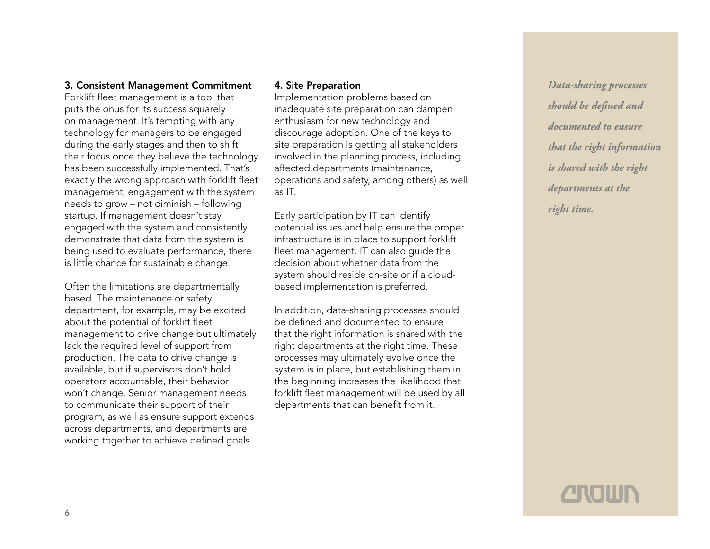### 3. Consistent Management Commitment

Forklift fleet management is a tool that puts the onus for its success squarely on management. It's tempting with any technology for managers to be engaged during the early stages and then to shift their focus once they believe the technology has been successfully implemented. That's exactly the wrong approach with forklift fleet management; engagement with the system needs to grow – not diminish – following startup. If management doesn't stay engaged with the system and consistently demonstrate that data from the system is being used to evaluate performance, there is little chance for sustainable change.

Often the limitations are departmentally based. The maintenance or safety department, for example, may be excited about the potential of forklift fleet management to drive change but ultimately lack the required level of support from production. The data to drive change is available, but if supervisors don't hold operators accountable, their behavior won't change. Senior management needs to communicate their support of their program, as well as ensure support extends across departments, and departments are working together to achieve defined goals.

#### 4. Site Preparation

Implementation problems based on inadequate site preparation can dampen enthusiasm for new technology and discourage adoption. One of the keys to site preparation is getting all stakeholders involved in the planning process, including affected departments (maintenance, operations and safety, among others) as well as IT.

Early participation by IT can identify potential issues and help ensure the proper infrastructure is in place to support forklift fleet management. IT can also guide the decision about whether data from the system should reside on-site or if a cloudbased implementation is preferred.

In addition, data-sharing processes should be defined and documented to ensure that the right information is shared with the right departments at the right time. These processes may ultimately evolve once the system is in place, but establishing them in the beginning increases the likelihood that forklift fleet management will be used by all departments that can benefit from it.

*Data-sharing processes should be defined and documented to ensure that the right information is shared with the right departments at the right time.*